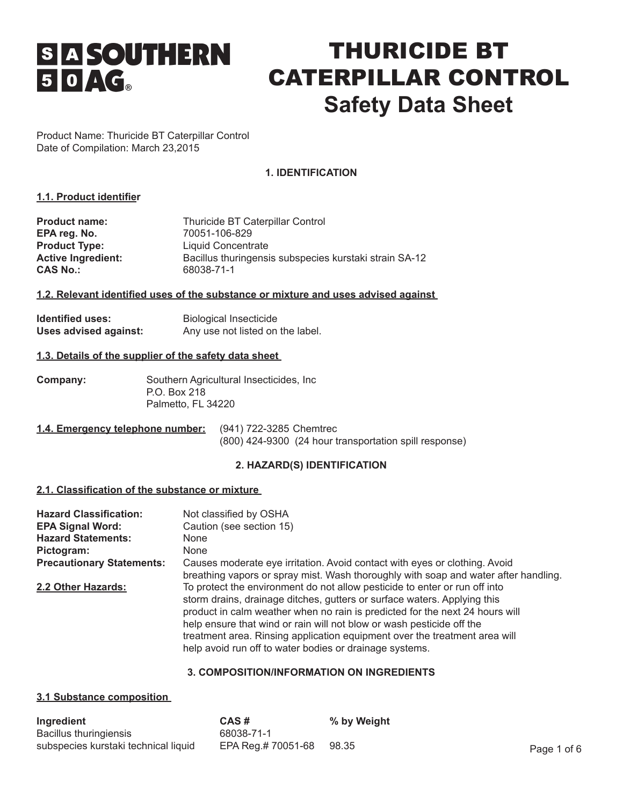# **SI A SOUTHERN**  $50AC_0$

## THURICIDE BT CATERPILLAR CONTROL **Safety Data Sheet**

Product Name: Thuricide BT Caterpillar Control Date of Compilation: March 23,2015

## **1. IDENTIFICATION**

## **1.1. Product identifier**

| <b>Product name:</b>      | Thuricide BT Caterpillar Control                       |
|---------------------------|--------------------------------------------------------|
| EPA reg. No.              | 70051-106-829                                          |
| <b>Product Type:</b>      | Liquid Concentrate                                     |
| <b>Active Ingredient:</b> | Bacillus thuringensis subspecies kurstaki strain SA-12 |
| <b>CAS No.:</b>           | 68038-71-1                                             |

## **1.2. Relevant identified uses of the substance or mixture and uses advised against**

| <b>Identified uses:</b> | <b>Biological Insecticide</b>    |
|-------------------------|----------------------------------|
| Uses advised against:   | Any use not listed on the label. |

#### **1.3. Details of the supplier of the safety data sheet**

| Company: | Southern Agricultural Insecticides, Inc. |
|----------|------------------------------------------|
|          | P.O. Box 218                             |
|          | Palmetto, FL 34220                       |

| 1.4. Emergency telephone number: (941) 722-3285 Chemtrec |                                                        |
|----------------------------------------------------------|--------------------------------------------------------|
|                                                          | (800) 424-9300 (24 hour transportation spill response) |

## **2. HAZARD(S) IDENTIFICATION**

#### **2.1. Classification of the substance or mixture**

| <b>Hazard Classification:</b><br><b>EPA Signal Word:</b><br><b>Hazard Statements:</b><br>Pictogram: | Not classified by OSHA<br>Caution (see section 15)<br><b>None</b><br><b>None</b>                                                                                                                                                                                                                                                                                                                                                                         |
|-----------------------------------------------------------------------------------------------------|----------------------------------------------------------------------------------------------------------------------------------------------------------------------------------------------------------------------------------------------------------------------------------------------------------------------------------------------------------------------------------------------------------------------------------------------------------|
| <b>Precautionary Statements:</b>                                                                    | Causes moderate eye irritation. Avoid contact with eyes or clothing. Avoid<br>breathing vapors or spray mist. Wash thoroughly with soap and water after handling.                                                                                                                                                                                                                                                                                        |
| 2.2 Other Hazards:                                                                                  | To protect the environment do not allow pesticide to enter or run off into<br>storm drains, drainage ditches, gutters or surface waters. Applying this<br>product in calm weather when no rain is predicted for the next 24 hours will<br>help ensure that wind or rain will not blow or wash pesticide off the<br>treatment area. Rinsing application equipment over the treatment area will<br>help avoid run off to water bodies or drainage systems. |

## **3. COMPOSITION/INFORMATION ON INGREDIENTS**

#### **3.1 Substance composition**

| Ingredient                           | CAS#               | % by Weight |             |
|--------------------------------------|--------------------|-------------|-------------|
| Bacillus thuringiensis               | 68038-71-1         |             |             |
| subspecies kurstaki technical liquid | EPA Reg.# 70051-68 | 98.35       | Page 1 of 6 |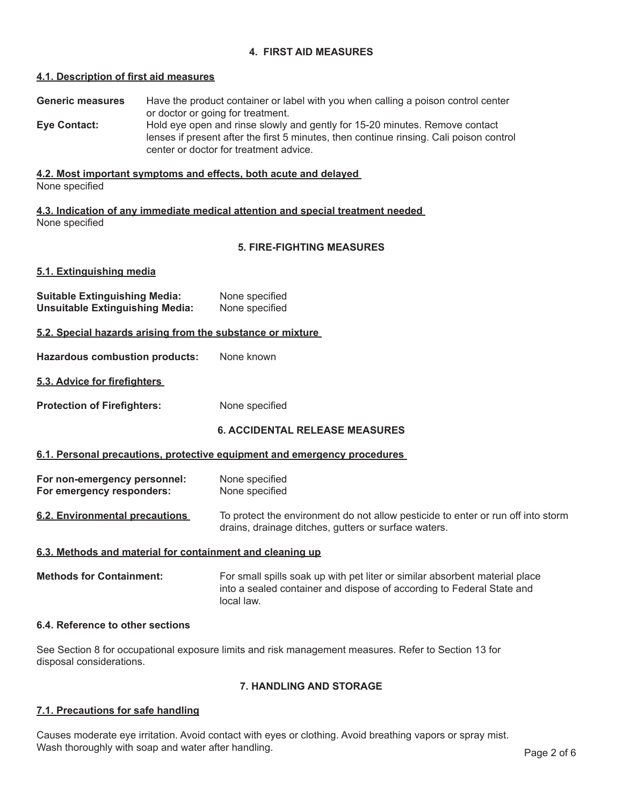## **4. FIRST AID MEASURES**

#### **4.1. Description of first aid measures**

**Generic measures** Have the product container or label with you when calling a poison control center or doctor or going for treatment.

**Eye Contact:** Hold eye open and rinse slowly and gently for 15-20 minutes. Remove contact lenses if present after the first 5 minutes, then continue rinsing. Cali poison control center or doctor for treatment advice.

## **4.2. Most important symptoms and effects, both acute and delayed**

None specified

**4.3. Indication of any immediate medical attention and special treatment needed**  None specified

## **5. FIRE-FIGHTING MEASURES**

#### **5.1. Extinguishing media**

| <b>Suitable Extinguishing Media:</b>   | None specified |
|----------------------------------------|----------------|
| <b>Unsuitable Extinguishing Media:</b> | None specified |

#### **5.2. Special hazards arising from the substance or mixture**

**Hazardous combustion products:** None known

#### **5.3. Advice for firefighters**

**Protection of Firefighters:** None specified

## **6. ACCIDENTAL RELEASE MEASURES**

#### **6.1. Personal precautions, protective equipment and emergency procedures**

**For non-emergency personnel:** None specified **For emergency responders:** None specified

**6.2. Environmental precautions** To protect the environment do not allow pesticide to enter or run off into storm drains, drainage ditches, gutters or surface waters.

## **6.3. Methods and material for containment and cleaning up**

**Methods for Containment:** For small spills soak up with pet liter or similar absorbent material place into a sealed container and dispose of according to Federal State and local law.

#### **6.4. Reference to other sections**

See Section 8 for occupational exposure limits and risk management measures. Refer to Section 13 for disposal considerations.

#### **7. HANDLING AND STORAGE**

#### **7.1. Precautions for safe handling**

Causes moderate eye irritation. Avoid contact with eyes or clothing. Avoid breathing vapors or spray mist. Wash thoroughly with soap and water after handling.<br>Page 2 of 6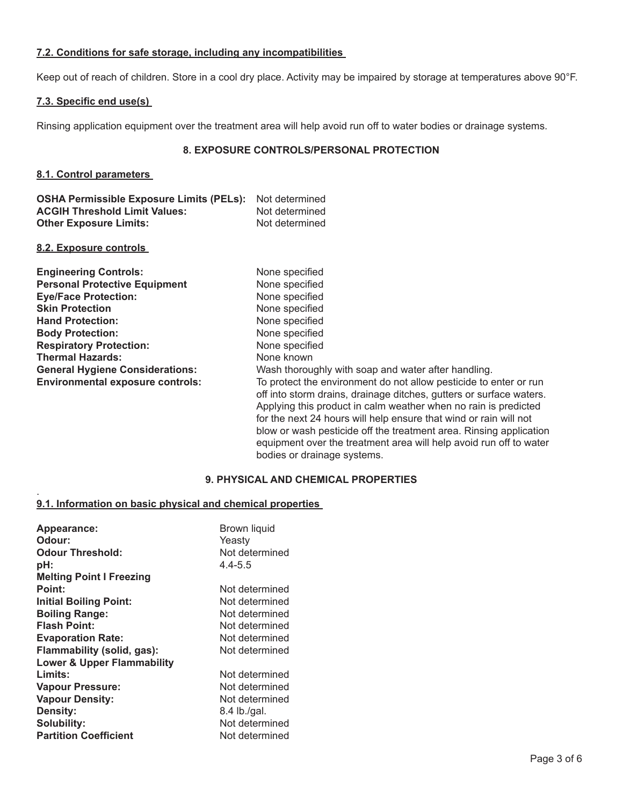## **7.2. Conditions for safe storage, including any incompatibilities**

Keep out of reach of children. Store in a cool dry place. Activity may be impaired by storage at temperatures above 90°F.

## **7.3. Specific end use(s)**

Rinsing application equipment over the treatment area will help avoid run off to water bodies or drainage systems.

## **8. EXPOSURE CONTROLS/PERSONAL PROTECTION**

## **8.1. Control parameters**

| <b>OSHA Permissible Exposure Limits (PELs):</b> Not determined |                |
|----------------------------------------------------------------|----------------|
| <b>ACGIH Threshold Limit Values:</b>                           | Not determined |
| <b>Other Exposure Limits:</b>                                  | Not determined |

#### **8.2. Exposure controls**

.

| <b>Engineering Controls:</b>            | None specified                                                                                                                                                                                                                                                                                                                                                                                                                                              |
|-----------------------------------------|-------------------------------------------------------------------------------------------------------------------------------------------------------------------------------------------------------------------------------------------------------------------------------------------------------------------------------------------------------------------------------------------------------------------------------------------------------------|
| <b>Personal Protective Equipment</b>    | None specified                                                                                                                                                                                                                                                                                                                                                                                                                                              |
| <b>Eye/Face Protection:</b>             | None specified                                                                                                                                                                                                                                                                                                                                                                                                                                              |
| <b>Skin Protection</b>                  | None specified                                                                                                                                                                                                                                                                                                                                                                                                                                              |
| <b>Hand Protection:</b>                 | None specified                                                                                                                                                                                                                                                                                                                                                                                                                                              |
| <b>Body Protection:</b>                 | None specified                                                                                                                                                                                                                                                                                                                                                                                                                                              |
| <b>Respiratory Protection:</b>          | None specified                                                                                                                                                                                                                                                                                                                                                                                                                                              |
| <b>Thermal Hazards:</b>                 | None known                                                                                                                                                                                                                                                                                                                                                                                                                                                  |
| <b>General Hygiene Considerations:</b>  | Wash thoroughly with soap and water after handling.                                                                                                                                                                                                                                                                                                                                                                                                         |
| <b>Environmental exposure controls:</b> | To protect the environment do not allow pesticide to enter or run<br>off into storm drains, drainage ditches, gutters or surface waters.<br>Applying this product in calm weather when no rain is predicted<br>for the next 24 hours will help ensure that wind or rain will not<br>blow or wash pesticide off the treatment area. Rinsing application<br>equipment over the treatment area will help avoid run off to water<br>bodies or drainage systems. |

## **9. PHYSICAL AND CHEMICAL PROPERTIES**

## **9.1. Information on basic physical and chemical properties**

| Appearance:<br>Odour:<br><b>Odour Threshold:</b><br>pH:<br><b>Melting Point I Freezing</b> | Brown liquid<br>Yeasty<br>Not determined<br>$4.4 - 5.5$ |
|--------------------------------------------------------------------------------------------|---------------------------------------------------------|
| Point:                                                                                     | Not determined                                          |
| <b>Initial Boiling Point:</b>                                                              | Not determined                                          |
| <b>Boiling Range:</b>                                                                      | Not determined                                          |
| <b>Flash Point:</b>                                                                        | Not determined                                          |
| <b>Evaporation Rate:</b>                                                                   | Not determined                                          |
| Flammability (solid, gas):                                                                 | Not determined                                          |
| <b>Lower &amp; Upper Flammability</b>                                                      |                                                         |
| Limits:                                                                                    | Not determined                                          |
| <b>Vapour Pressure:</b>                                                                    | Not determined                                          |
| <b>Vapour Density:</b>                                                                     | Not determined                                          |
| <b>Density:</b>                                                                            | 8.4 lb./gal.                                            |
| <b>Solubility:</b>                                                                         | Not determined                                          |
| <b>Partition Coefficient</b>                                                               | Not determined                                          |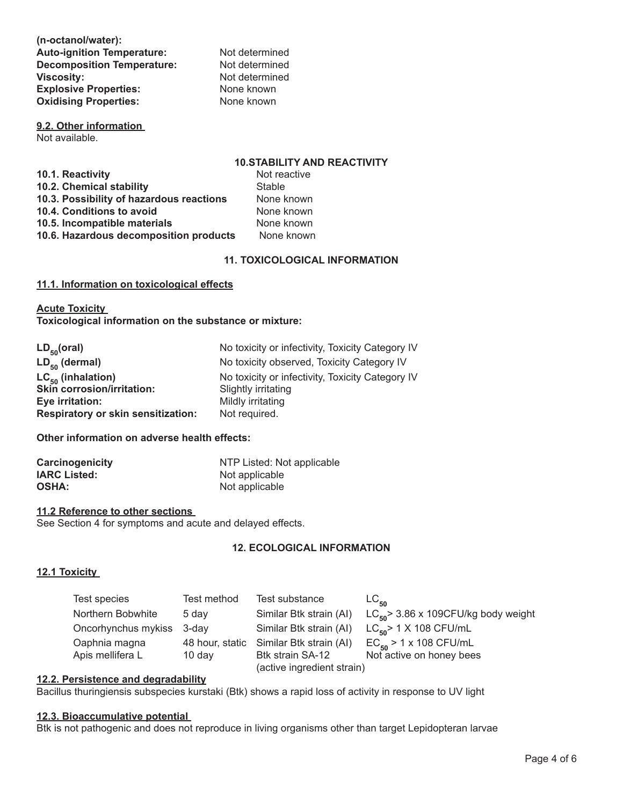**(n-octanol/water):**  Auto-ignition Temperature: Not determined **Decomposition Temperature:** Not determined **Viscosity: Viscosity:** Not determined<br> **Explosive Properties:** None known **Explosive Properties:** None known<br> **Oxidising Properties:** None known **Oxidising Properties:** 

**9.2. Other information**  Not available.

## **10.STABILITY AND REACTIVITY**

| 10.1. Reactivity                         | Not reactive  |
|------------------------------------------|---------------|
| 10.2. Chemical stability                 | <b>Stable</b> |
| 10.3. Possibility of hazardous reactions | None known    |
| 10.4. Conditions to avoid                | None known    |
| 10.5. Incompatible materials             | None known    |
| 10.6. Hazardous decomposition products   | None known    |
|                                          |               |

## **11. TOXICOLOGICAL INFORMATION**

## **11.1. Information on toxicological effects**

**Acute Toxicity Toxicological information on the substance or mixture:** 

| $LD_{50} (oral)$                          | No toxicity or infectivity, Toxicity Category IV |
|-------------------------------------------|--------------------------------------------------|
| $LD_{50}$ (dermal)                        | No toxicity observed, Toxicity Category IV       |
| $LC_{50}$ (inhalation)                    | No toxicity or infectivity, Toxicity Category IV |
| <b>Skin corrosion/irritation:</b>         | Slightly irritating                              |
| Eye irritation:                           | Mildly irritating                                |
| <b>Respiratory or skin sensitization:</b> | Not required.                                    |

#### **Other information on adverse health effects:**

| Carcinogenicity     | NTP Listed: Not applicable |
|---------------------|----------------------------|
| <b>IARC Listed:</b> | Not applicable             |
| <b>OSHA:</b>        | Not applicable             |

#### **11.2 Reference to other sections**

See Section 4 for symptoms and acute and delayed effects.

## **12. ECOLOGICAL INFORMATION**

#### **12.1 Toxicity**

| Test species        | Test method      | Test substance                          | $LC_{50}$                                   |
|---------------------|------------------|-----------------------------------------|---------------------------------------------|
| Northern Bobwhite   | 5 day            | Similar Btk strain (AI)                 | $LC_{\rm iso}$ 3.86 x 109CFU/kg body weight |
| Oncorhynchus mykiss | 3-dav            | Similar Btk strain (AI)                 | $LC_{\rm{so}}$ > 1 X 108 CFU/mL             |
| Oaphnia magna       |                  | 48 hour, static Similar Btk strain (AI) | $EC_{50}$ > 1 x 108 CFU/mL                  |
| Apis mellifera L    | $10 \text{ day}$ | Btk strain SA-12                        | Not active on honey bees                    |
|                     |                  | (active ingredient strain)              |                                             |

#### **12.2. Persistence and degradability**

Bacillus thuringiensis subspecies kurstaki (Btk) shows a rapid loss of activity in response to UV light

#### **12.3. Bioaccumulative potential**

Btk is not pathogenic and does not reproduce in living organisms other than target Lepidopteran larvae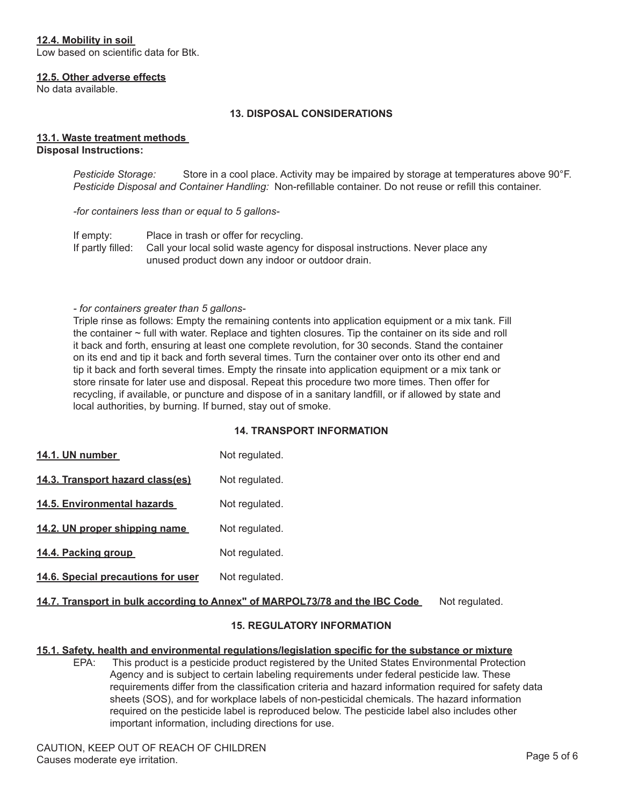## **12.4. Mobility in soil**

Low based on scientific data for Btk.

#### **12.5. Other adverse effects**

No data available.

#### **13. DISPOSAL CONSIDERATIONS**

#### **13.1. Waste treatment methods Disposal Instructions:**

*Pesticide Storage:* Store in a cool place. Activity may be impaired by storage at temperatures above 90°F. *Pesticide Disposal and Container Handling:* Non-refillable container. Do not reuse or refill this container.

*-for containers less than or equal to 5 gallons-*

If empty: Place in trash or offer for recycling. If partly filled: Call your local solid waste agency for disposal instructions. Never place any unused product down any indoor or outdoor drain.

#### *- for containers greater than 5 gallons-*

Triple rinse as follows: Empty the remaining contents into application equipment or a mix tank. Fill the container ~ full with water. Replace and tighten closures. Tip the container on its side and roll it back and forth, ensuring at least one complete revolution, for 30 seconds. Stand the container on its end and tip it back and forth several times. Turn the container over onto its other end and tip it back and forth several times. Empty the rinsate into application equipment or a mix tank or store rinsate for later use and disposal. Repeat this procedure two more times. Then offer for recycling, if available, or puncture and dispose of in a sanitary landfill, or if allowed by state and local authorities, by burning. If burned, stay out of smoke.

#### **14. TRANSPORT INFORMATION**

- **14.1. UN number** Not regulated.
- 14.3. Transport hazard class(es) Not regulated.
- 14.5. Environmental hazards Not regulated.
- **14.2. UN proper shipping name** Not regulated.
- 14.4. Packing group **Not regulated.**
- 14.6. Special precautions for user Not regulated.

## 14.7. Transport in bulk according to Annex" of MARPOL73/78 and the IBC Code Not regulated.

## **15. REGULATORY INFORMATION**

#### **15.1. Safety, health and environmental regulations/legislation specific for the substance or mixture**

EPA: This product is a pesticide product registered by the United States Environmental Protection Agency and is subject to certain labeling requirements under federal pesticide law. These requirements differ from the classification criteria and hazard information required for safety data sheets (SOS), and for workplace labels of non-pesticidal chemicals. The hazard information required on the pesticide label is reproduced below. The pesticide label also includes other important information, including directions for use.